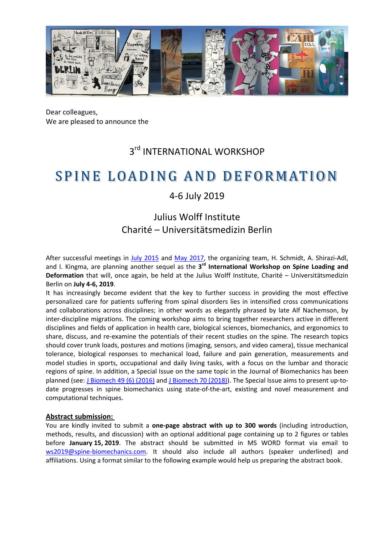

Dear colleagues, We are pleased to announce the

# 3<sup>rd</sup> INTERNATIONAL WORKSHOP

# SPINE LOADING AND DEFORMATION

## 4-6 July 2019

## Julius Wolff Institute Charité – Universitätsmedizin Berlin

After successful meetings in [July 2015](http://workshop.spine-biomechanics.com/2015/) and [May 2017,](http://workshop.spine-biomechanics.com/2017/) the organizing team, H. Schmidt, A. Shirazi-Adl, and I. Kingma, are planning another sequel as the **3rd International Workshop on Spine Loading and Deformation** that will, once again, be held at the Julius Wolff Institute, Charité – Universitätsmedizin Berlin on **July 4-6, 2019**.

It has increasingly become evident that the key to further success in providing the most effective personalized care for patients suffering from spinal disorders lies in intensified cross communications and collaborations across disciplines; in other words as elegantly phrased by late Alf Nachemson, by inter-discipline migrations. The coming workshop aims to bring together researchers active in different disciplines and fields of application in health care, biological sciences, biomechanics, and ergonomics to share, discuss, and re-examine the potentials of their recent studies on the spine. The research topics should cover trunk loads, postures and motions (imaging, sensors, and video camera), tissue mechanical tolerance, biological responses to mechanical load, failure and pain generation, measurements and model studies in sports, occupational and daily living tasks, with a focus on the lumbar and thoracic regions of spine. In addition, a Special Issue on the same topic in the Journal of Biomechanics has been planned (see: [J Biomech 49 \(6\) \(2016\)](https://www.jbiomech.com/issue/S0021-9290%2816%29X0006-1?code=bm-site) and [J Biomech 70 \(2018\)\)](https://www.jbiomech.com/issue/S0021-9290(18)X0004-9). The Special Issue aims to present up-todate progresses in spine biomechanics using state-of-the-art, existing and novel measurement and computational techniques.

### **Abstract submission:**

You are kindly invited to submit a **one-page abstract with up to 300 words** (including introduction, methods, results, and discussion) with an optional additional page containing up to 2 figures or tables before **January 15, 2019**. The abstract should be submitted in MS WORD format via email to [ws2019@spine-biomechanics.com.](mailto:ws2019@spine-biomechanics.com) It should also include all authors (speaker underlined) and affiliations. Using a format similar to the following example would help us preparing the abstract book.